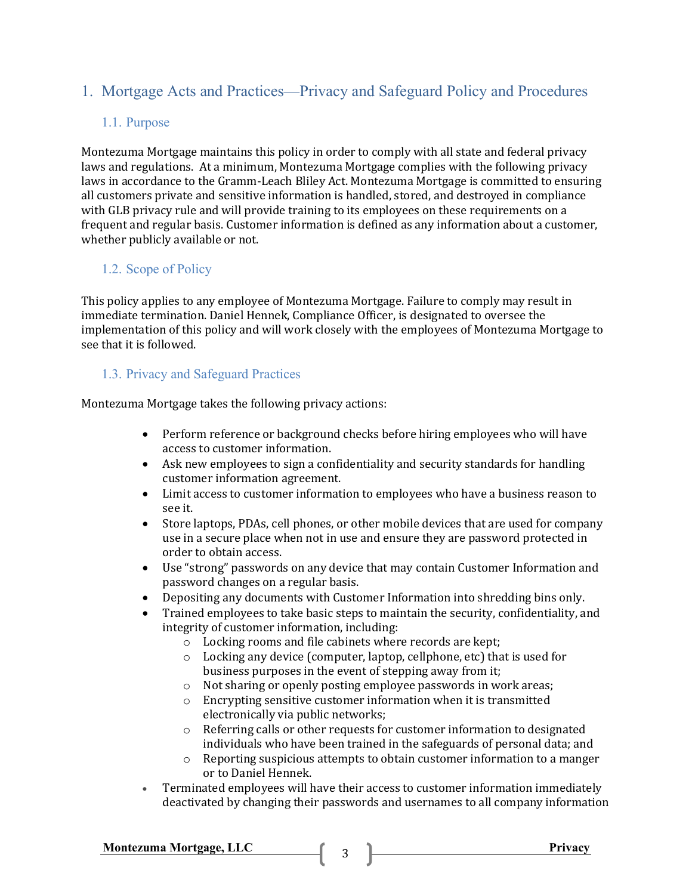# 1. Mortgage Acts and Practices—Privacy and Safeguard Policy and Procedures

### 1.1. Purpose

Montezuma Mortgage maintains this policy in order to comply with all state and federal privacy laws and regulations. At a minimum, Montezuma Mortgage complies with the following privacy laws in accordance to the Gramm-Leach Bliley Act. Montezuma Mortgage is committed to ensuring all customers private and sensitive information is handled, stored, and destroyed in compliance with GLB privacy rule and will provide training to its employees on these requirements on a frequent and regular basis. Customer information is defined as any information about a customer, whether publicly available or not.

## 1.2. Scope of Policy

This policy applies to any employee of Montezuma Mortgage. Failure to comply may result in immediate termination. Daniel Hennek, Compliance Officer, is designated to oversee the implementation of this policy and will work closely with the employees of Montezuma Mortgage to see that it is followed.

### 1.3. Privacy and Safeguard Practices

Montezuma Mortgage takes the following privacy actions:

- Perform reference or background checks before hiring employees who will have access to customer information.
- Ask new employees to sign a confidentiality and security standards for handling customer information agreement.
- Limit access to customer information to employees who have a business reason to see it.
- Store laptops, PDAs, cell phones, or other mobile devices that are used for company use in a secure place when not in use and ensure they are password protected in order to obtain access.
- Use "strong" passwords on any device that may contain Customer Information and password changes on a regular basis.
- Depositing any documents with Customer Information into shredding bins only.
- Trained employees to take basic steps to maintain the security, confidentiality, and integrity of customer information, including:
	- o Locking rooms and file cabinets where records are kept;
	- o Locking any device (computer, laptop, cellphone, etc) that is used for business purposes in the event of stepping away from it;
	- o Not sharing or openly posting employee passwords in work areas;
	- o Encrypting sensitive customer information when it is transmitted electronically via public networks;
	- o Referring calls or other requests for customer information to designated individuals who have been trained in the safeguards of personal data; and
	- o Reporting suspicious attempts to obtain customer information to a manger or to Daniel Hennek.
- Terminated employees will have their access to customer information immediately deactivated by changing their passwords and usernames to all company information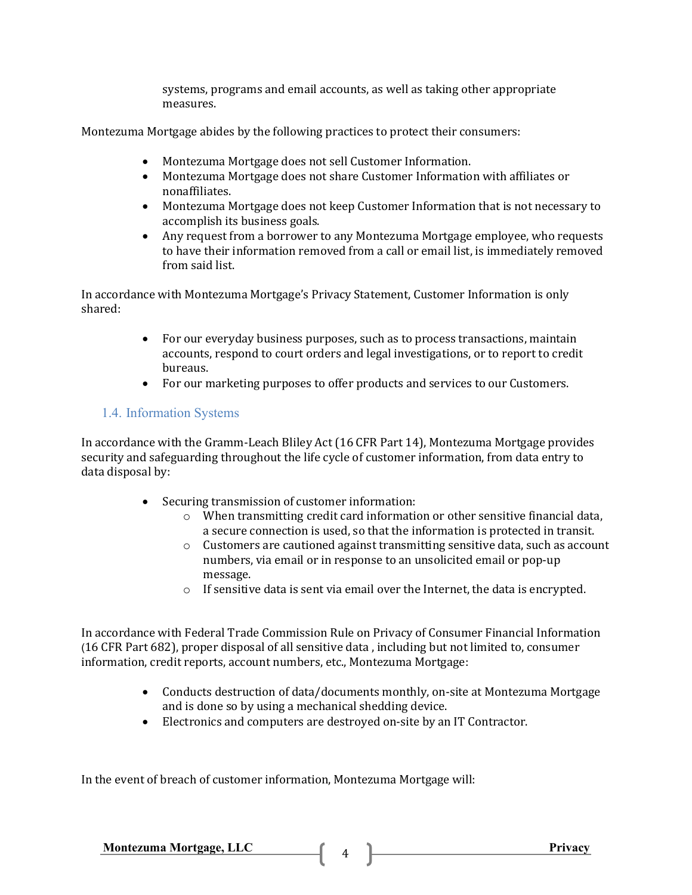systems, programs and email accounts, as well as taking other appropriate measures.

Montezuma Mortgage abides by the following practices to protect their consumers:

- Montezuma Mortgage does not sell Customer Information.
- Montezuma Mortgage does not share Customer Information with affiliates or nonaffiliates.
- Montezuma Mortgage does not keep Customer Information that is not necessary to accomplish its business goals.
- Any request from a borrower to any Montezuma Mortgage employee, who requests to have their information removed from a call or email list, is immediately removed from said list.

In accordance with Montezuma Mortgage's Privacy Statement, Customer Information is only shared:

- For our everyday business purposes, such as to process transactions, maintain accounts, respond to court orders and legal investigations, or to report to credit bureaus.
- For our marketing purposes to offer products and services to our Customers.

### 1.4. Information Systems

In accordance with the Gramm-Leach Bliley Act (16 CFR Part 14), Montezuma Mortgage provides security and safeguarding throughout the life cycle of customer information, from data entry to data disposal by:

- Securing transmission of customer information:
	- o When transmitting credit card information or other sensitive financial data, a secure connection is used, so that the information is protected in transit.
	- $\circ$  Customers are cautioned against transmitting sensitive data, such as account numbers, via email or in response to an unsolicited email or pop-up message.
	- o If sensitive data is sent via email over the Internet, the data is encrypted.

In accordance with Federal Trade Commission Rule on Privacy of Consumer Financial Information (16 CFR Part 682), proper disposal of all sensitive data , including but not limited to, consumer information, credit reports, account numbers, etc., Montezuma Mortgage:

- Conducts destruction of data/documents monthly, on-site at Montezuma Mortgage and is done so by using a mechanical shedding device.
- Electronics and computers are destroyed on-site by an IT Contractor.

In the event of breach of customer information, Montezuma Mortgage will:

Montezuma Mortgage, LLC 4 2 Privacy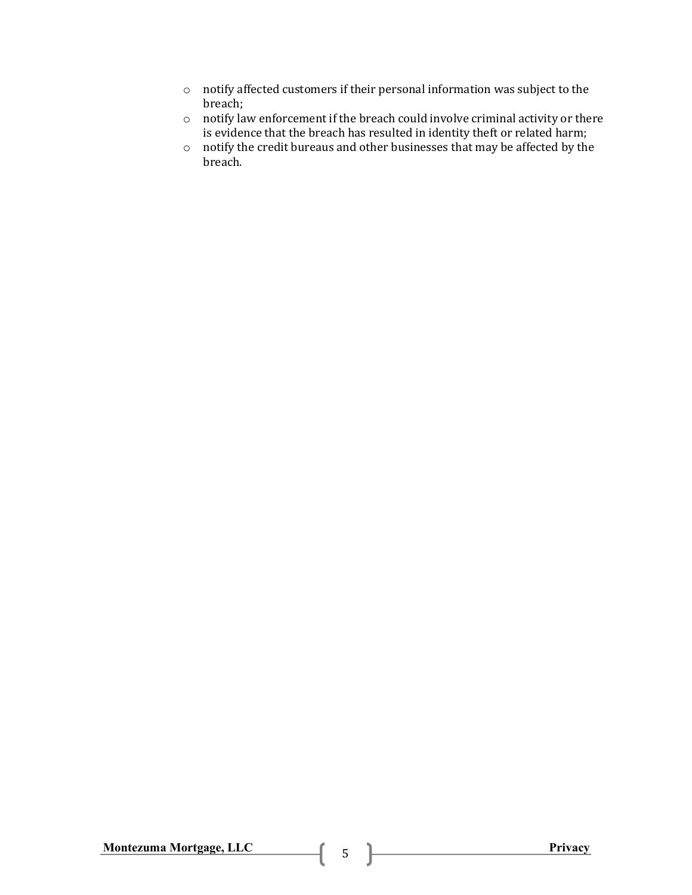- o notify affected customers if their personal information was subject to the breach;
- o notify law enforcement if the breach could involve criminal activity or there is evidence that the breach has resulted in identity theft or related harm;
- o notify the credit bureaus and other businesses that may be affected by the breach.